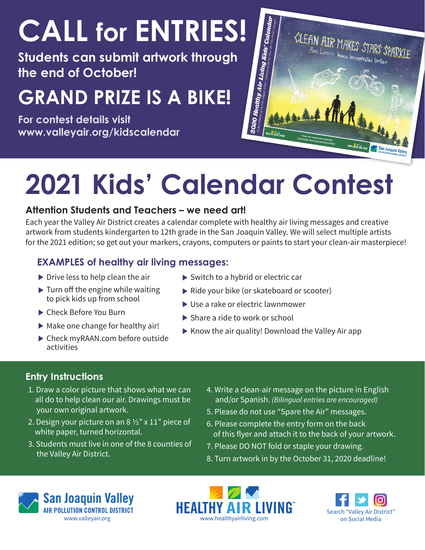# **CALL for ENTRIES!**

**Students can submit artwork through the end of October!**

## **GRAND PRIZE IS A BIKE!**

**For contest details visit www.valleyair.org/kidscalendar**



# **2021 Kids' Calendar Contest**

#### **Attention Students and Teachers – we need art!**

Each year the Valley Air District creates a calendar complete with healthy air living messages and creative artwork from students kindergarten to 12th grade in the San Joaquin Valley. We will select multiple artists for the 2021 edition; so get out your markers, crayons, computers or paints to start your clean-air masterpiece!

### **EXAMPLES of healthy air living messages:**

- $\triangleright$  Drive less to help clean the air
- $\blacktriangleright$  Turn off the engine while waiting to pick kids up from school
- ▶ Check Before You Burn
- $\blacktriangleright$  Make one change for healthy air!
- ▶ Check myRAAN.com before outside activities
- ▶ Switch to a hybrid or electric car
- Ride your bike (or skateboard or scooter)
- ▶ Use a rake or electric lawnmower
- ▶ Share a ride to work or school
- $\triangleright$  Know the air quality! Download the Valley Air app

### **Entry Instructions**

- 1. Draw a color picture that shows what we can all do to help clean our air. Drawings must be your own original artwork.
- 2. Design your picture on an 8  $\frac{1}{2}$ " x 11" piece of white paper, turned horizontal.
- 3. Students must live in one of the 8 counties of the Valley Air District.
- 4. Write a clean-air message on the picture in English and/or Spanish. *(Bilingual entries are encouraged)*
- 5. Please do not use "Spare the Air" messages.
- 6. Please complete the entry form on the back of this flyer and attach it to the back of your artwork.
- 7. Please DO NOT fold or staple your drawing.
- 8. Turn artwork in by the October 31, 2020 deadline!